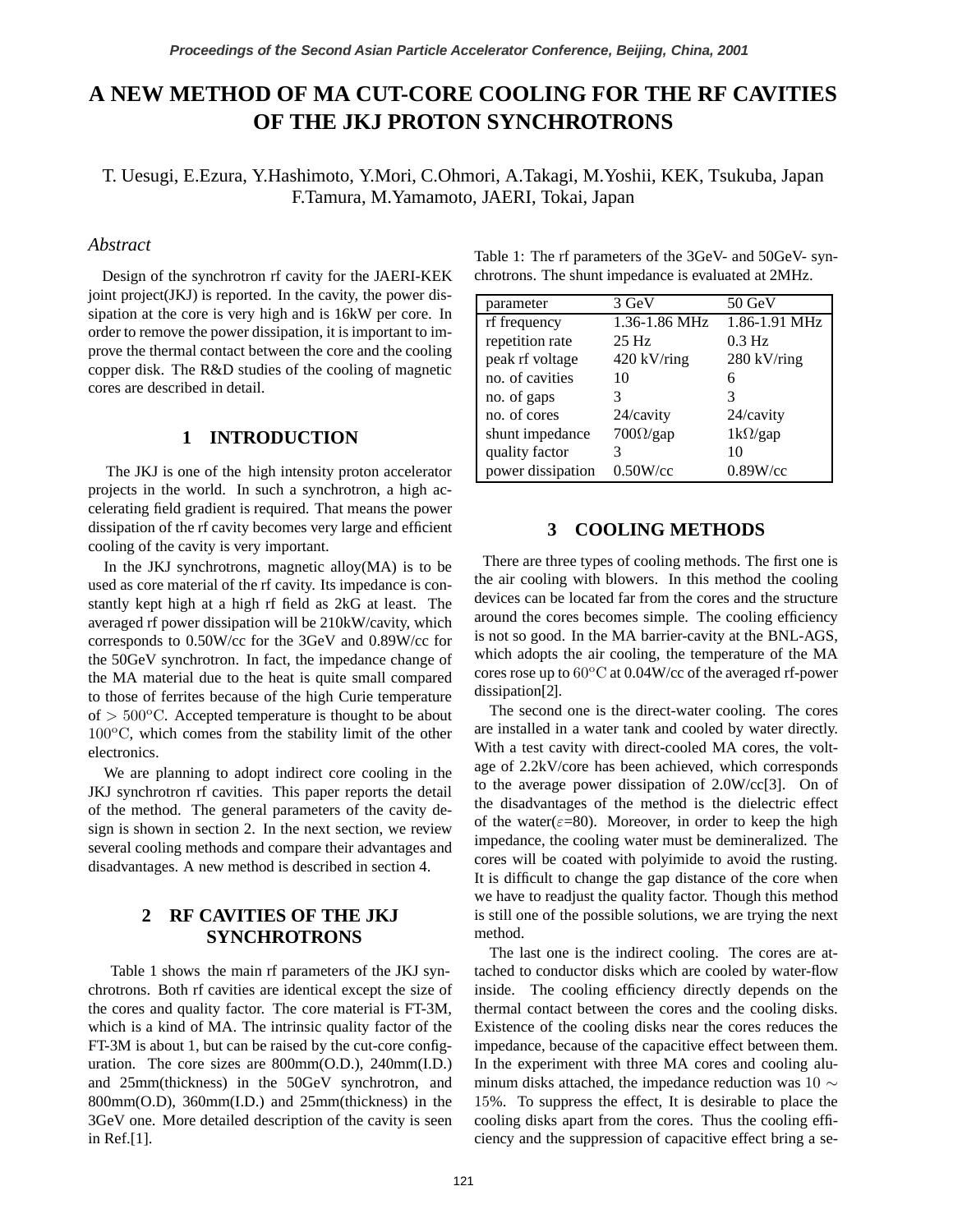# **A NEW METHOD OF MA CUT-CORE COOLING FOR THE RF CAVITIES OF THE JKJ PROTON SYNCHROTRONS**

T. Uesugi, E.Ezura, Y.Hashimoto, Y.Mori, C.Ohmori, A.Takagi, M.Yoshii, KEK, Tsukuba, Japan F.Tamura, M.Yamamoto, JAERI, Tokai, Japan

## *Abstract*

Design of the synchrotron rf cavity for the JAERI-KEK joint project( $JKJ$ ) is reported. In the cavity, the power dissipation at the core is very high and is 16kW per core. In order to remove the power dissipation, it is important to improve the thermal contact between the core and the cooling copper disk. The R&D studies of the cooling of magnetic cores are described in detail.

# **1 INTRODUCTION**

The JKJ is one of the high intensity proton accelerator projects in the world. In such a synchrotron, a high accelerating field gradient is required. That means the power dissipation of the rf cavity becomes very large and efficient cooling of the cavity is very important.

In the JKJ synchrotrons, magnetic alloy $(MA)$  is to be used as core material of the rf cavity. Its impedance is constantly kept high at a high rf field as 2kG at least. The averaged rf power dissipation will be 210kW/cavity, which corresponds to 0.50W/cc for the 3GeV and 0.89W/cc for the 50GeV synchrotron. In fact, the impedance change of the MA material due to the heat is quite small compared to those of ferrites because of the high Curie temperature of  $> 500$ <sup>o</sup>C. Accepted temperature is thought to be about  $100^{\circ}$ C, which comes from the stability limit of the other electronics.

We are planning to adopt indirect core cooling in the JKJ synchrotron rf cavities. This paper reports the detail of the method. The general parameters of the cavity design is shown in section 2. In the next section, we review several cooling methods and compare their advantages and disadvantages. A new method is described in section 4.

# **2 RF CAVITIES OF THE JKJ SYNCHROTRONS**

Table 1 shows the main rf parameters of the JKJ synchrotrons. Both rf cavities are identical except the size of the cores and quality factor. The core material is FT-3M, which is a kind of MA. The intrinsic quality factor of the FT-3M is about 1, but can be raised by the cut-core configuration. The core sizes are 800mm(O.D.), 240mm(I.D.) and 25mm(thickness) in the 50GeV synchrotron, and 800mm(O.D), 360mm(I.D.) and 25mm(thickness) in the 3GeV one. More detailed description of the cavity is seen in Ref.[1].

| Table 1: The rf parameters of the 3GeV- and 50GeV- syn- |
|---------------------------------------------------------|
| chrotrons. The shunt impedance is evaluated at 2MHz.    |

| parameter         | 3 GeV                  | $50 \text{ GeV}$ |
|-------------------|------------------------|------------------|
| rf frequency      | 1.36-1.86 MHz          | 1.86-1.91 MHz    |
| repetition rate   | $25$ Hz                | $0.3$ Hz         |
| peak rf voltage   | $420$ kV/ring          | $280$ kV/ring    |
| no. of cavities   | 10                     | 6                |
| no. of gaps       | 3                      | 3                |
| no. of cores      | 24/cavity              | 24/cavity        |
| shunt impedance   | $700\Omega\text{/gap}$ | $1k\Omega$ /gap  |
| quality factor    |                        | 10               |
| power dissipation | $0.50W$ /cc            | $0.89W$ /cc      |

## **3 COOLING METHODS**

There are three types of cooling methods. The first one is the air cooling with blowers. In this method the cooling devices can be located far from the cores and the structure around the cores becomes simple. The cooling efficiency is not so good. In the MA barrier-cavity at the BNL-AGS, which adopts the air cooling, the temperature of the MA cores rose up to  $60^{\circ}$ C at 0.04W/cc of the averaged rf-power dissipation[2].

The second one is the direct-water cooling. The cores are installed in a water tank and cooled by water directly. With a test cavity with direct-cooled MA cores, the voltage of 2.2kV/core has been achieved, which corresponds to the average power dissipation of 2.0W/cc[3]. On of the disadvantages of the method is the dielectric effect of the water( $\varepsilon$ =80). Moreover, in order to keep the high impedance, the cooling water must be demineralized. The cores will be coated with polyimide to avoid the rusting. It is difficult to change the gap distance of the core when we have to readjust the quality factor. Though this method is still one of the possible solutions, we are trying the next method.

The last one is the indirect cooling. The cores are attached to conductor disks which are cooled by water-flow inside. The cooling efficiency directly depends on the thermal contact between the cores and the cooling disks. Existence of the cooling disks near the cores reduces the impedance, because of the capacitive effect between them. In the experiment with three MA cores and cooling aluminum disks attached, the impedance reduction was 10  $\sim$ 15%. To suppress the effect, It is desirable to place the cooling disks apart from the cores. Thus the cooling efficiency and the suppression of capacitive effect bring a se-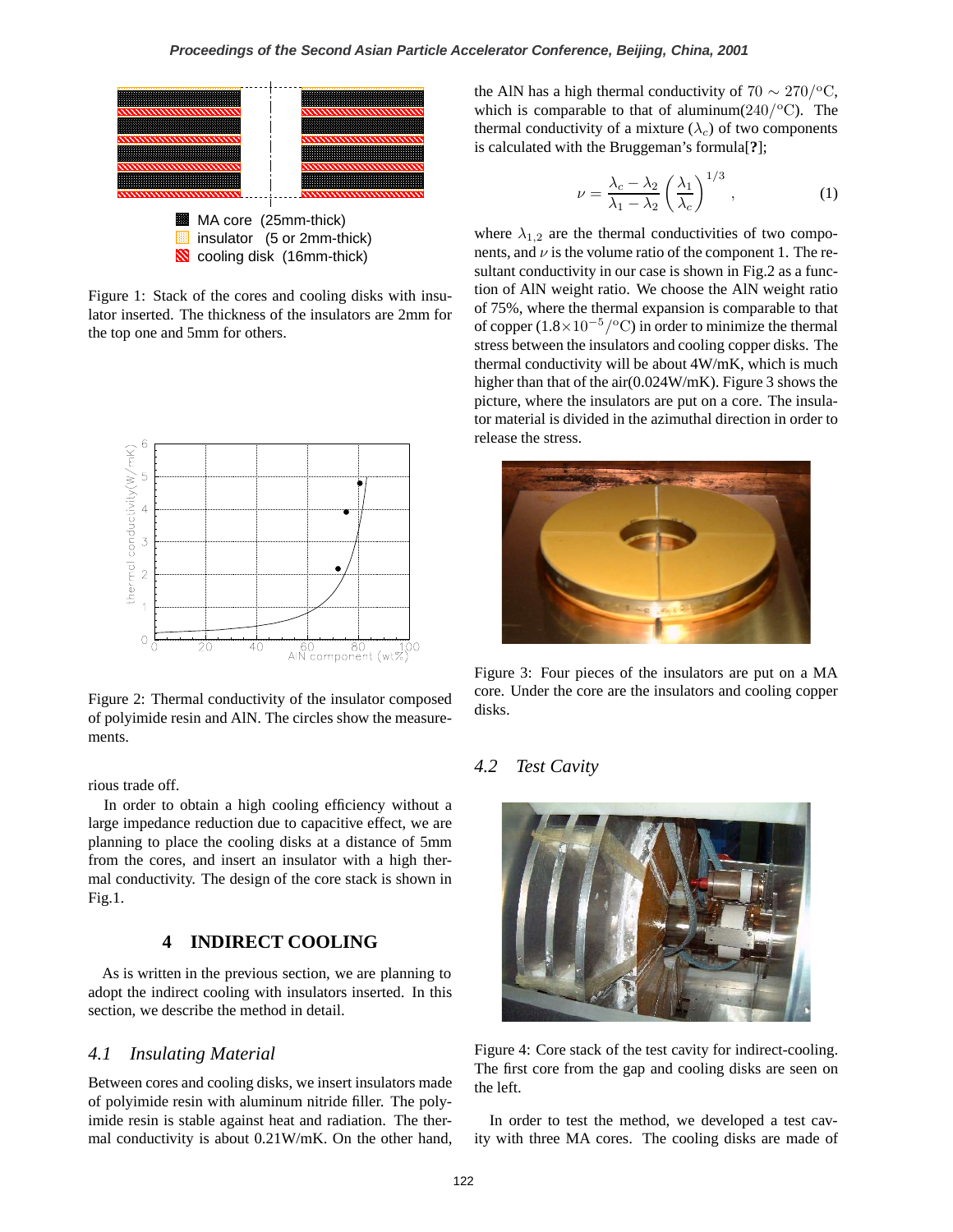

Figure 1: Stack of the cores and cooling disks with insulator inserted. The thickness of the insulators are 2mm for the top one and 5mm for others.



Figure 2: Thermal conductivity of the insulator composed of polyimide resin and AlN. The circles show the measurements.

rious trade off.

In order to obtain a high cooling efficiency without a large impedance reduction due to capacitive effect, we are planning to place the cooling disks at a distance of 5mm from the cores, and insert an insulator with a high thermal conductivity. The design of the core stack is shown in Fig.1.

# **4 INDIRECT COOLING**

As is written in the previous section, we are planning to adopt the indirect cooling with insulators inserted. In this section, we describe the method in detail.

#### *4.1 Insulating Material*

Between cores and cooling disks, we insert insulators made of polyimide resin with aluminum nitride filler. The polyimide resin is stable against heat and radiation. The thermal conductivity is about 0.21W/mK. On the other hand, the AlN has a high thermal conductivity of 70  $\sim$  270/<sup>o</sup>C, which is comparable to that of aluminum $(240)^{\circ}$ C). The thermal conductivity of a mixture  $(\lambda_c)$  of two components is calculated with the Bruggeman's formula[**?**];

$$
\nu = \frac{\lambda_c - \lambda_2}{\lambda_1 - \lambda_2} \left(\frac{\lambda_1}{\lambda_c}\right)^{1/3},\tag{1}
$$

where  $\lambda_{1,2}$  are the thermal conductivities of two components, and  $\nu$  is the volume ratio of the component 1. The resultant conductivity in our case is shown in Fig.2 as a function of AlN weight ratio. We choose the AlN weight ratio of 75%, where the thermal expansion is comparable to that of copper (1.8×10*−*5/<sup>o</sup>C) in order to minimize the thermal stress between the insulators and cooling copper disks. The thermal conductivity will be about 4W/mK, which is much higher than that of the air(0.024W/mK). Figure 3 shows the picture, where the insulators are put on a core. The insulator material is divided in the azimuthal direction in order to release the stress.



Figure 3: Four pieces of the insulators are put on a MA core. Under the core are the insulators and cooling copper disks.

## *4.2 Test Cavity*



Figure 4: Core stack of the test cavity for indirect-cooling. The first core from the gap and cooling disks are seen on the left.

In order to test the method, we developed a test cavity with three MA cores. The cooling disks are made of